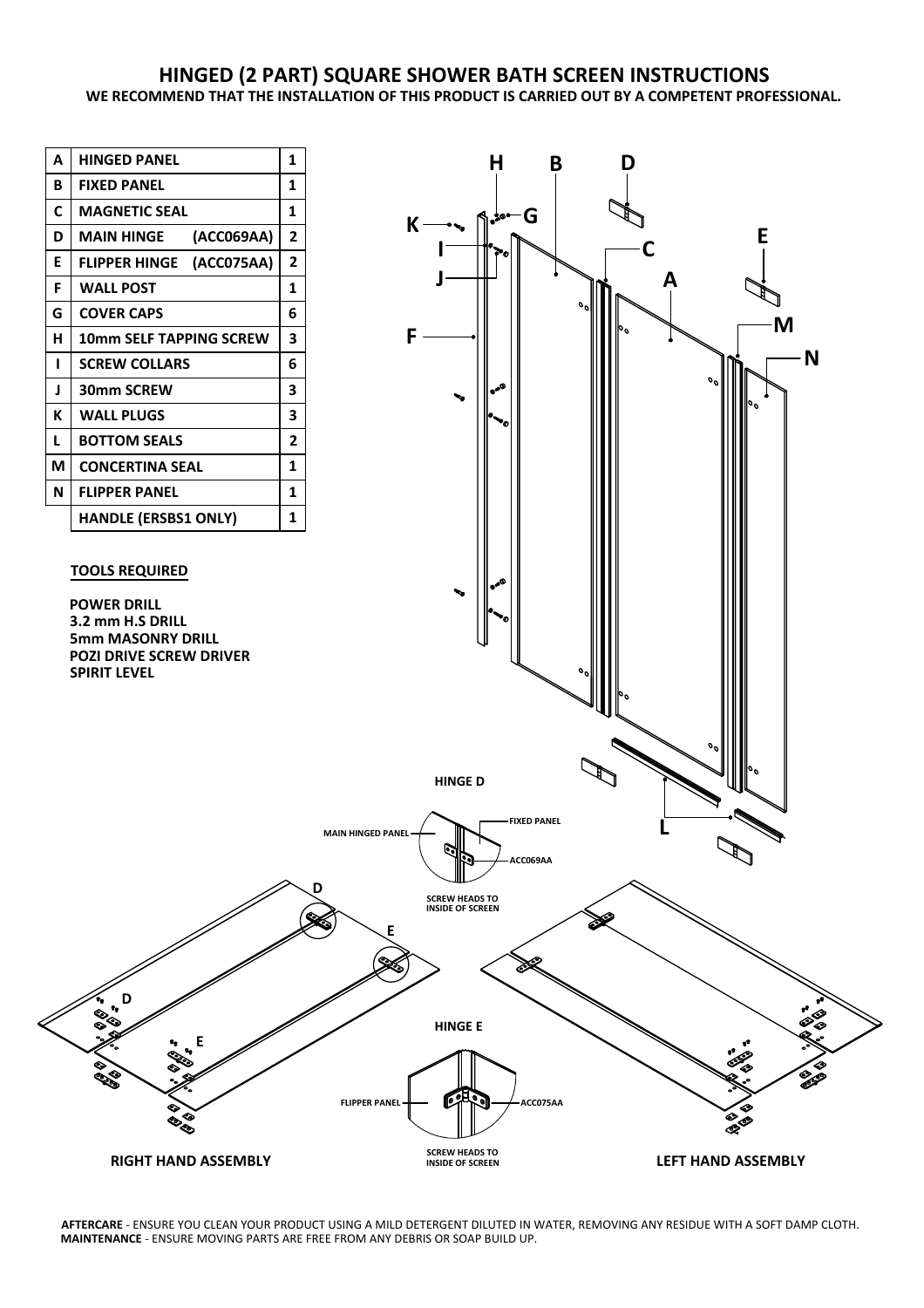## **HINGED (2 PART) SQUARE SHOWER BATH SCREEN INSTRUCTIONS WE RECOMMEND THAT THE INSTALLATION OF THIS PRODUCT IS CARRIED OUT BY A COMPETENT PROFESSIONAL.**



**AFTERCARE** - ENSURE YOU CLEAN YOUR PRODUCT USING A MILD DETERGENT DILUTED IN WATER, REMOVING ANY RESIDUE WITH A SOFT DAMP CLOTH. **MAINTENANCE** - ENSURE MOVING PARTS ARE FREE FROM ANY DEBRIS OR SOAP BUILD UP.